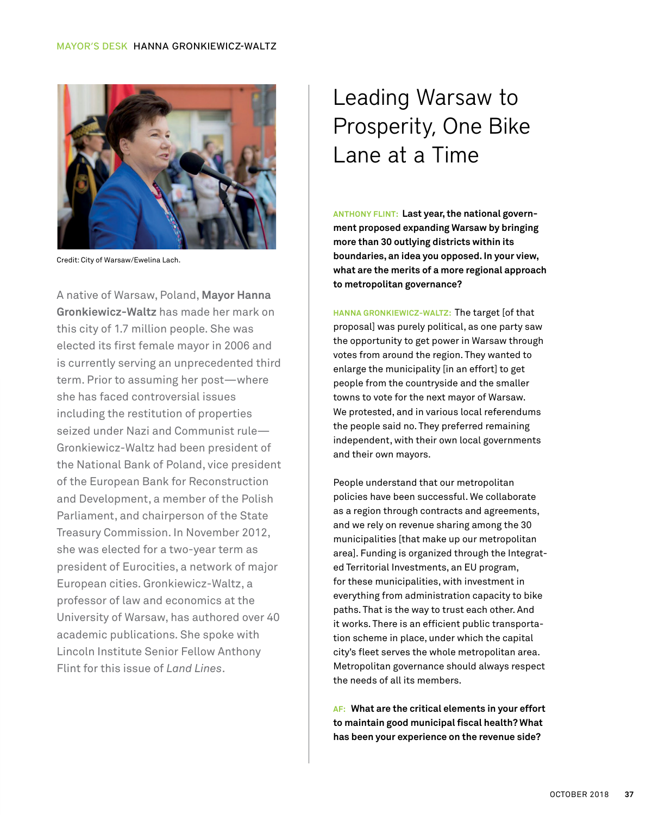

Credit: City of Warsaw/Ewelina Lach.

A native of Warsaw, Poland, **Mayor Hanna Gronkiewicz-Waltz** has made her mark on this city of 1.7 million people. She was elected its first female mayor in 2006 and is currently serving an unprecedented third term. Prior to assuming her post—where she has faced controversial issues including the restitution of properties seized under Nazi and Communist rule— Gronkiewicz-Waltz had been president of the National Bank of Poland, vice president of the European Bank for Reconstruction and Development, a member of the Polish Parliament, and chairperson of the State Treasury Commission. In November 2012, she was elected for a two-year term as president of Eurocities, a network of major European cities. Gronkiewicz-Waltz, a professor of law and economics at the University of Warsaw, has authored over 40 academic publications. She spoke with Lincoln Institute Senior Fellow Anthony Flint for this issue of *Land Lines*.

## Leading Warsaw to Prosperity, One Bike Lane at a Time

**ANTHONY FLINT: Last year, the national government proposed expanding Warsaw by bringing more than 30 outlying districts within its boundaries, an idea you opposed. In your view, what are the merits of a more regional approach to metropolitan governance?**

**HANNA GRONKIEWICZ-WALTZ:** The target [of that proposal] was purely political, as one party saw the opportunity to get power in Warsaw through votes from around the region. They wanted to enlarge the municipality [in an effort] to get people from the countryside and the smaller towns to vote for the next mayor of Warsaw. We protested, and in various local referendums the people said no. They preferred remaining independent, with their own local governments and their own mayors.

People understand that our metropolitan policies have been successful. We collaborate as a region through contracts and agreements, and we rely on revenue sharing among the 30 municipalities [that make up our metropolitan area]. Funding is organized through the Integrated Territorial Investments, an EU program, for these municipalities, with investment in everything from administration capacity to bike paths. That is the way to trust each other. And it works. There is an efficient public transportation scheme in place, under which the capital city's fleet serves the whole metropolitan area. Metropolitan governance should always respect the needs of all its members.

**AF: What are the critical elements in your effort to maintain good municipal fiscal health? What has been your experience on the revenue side?**